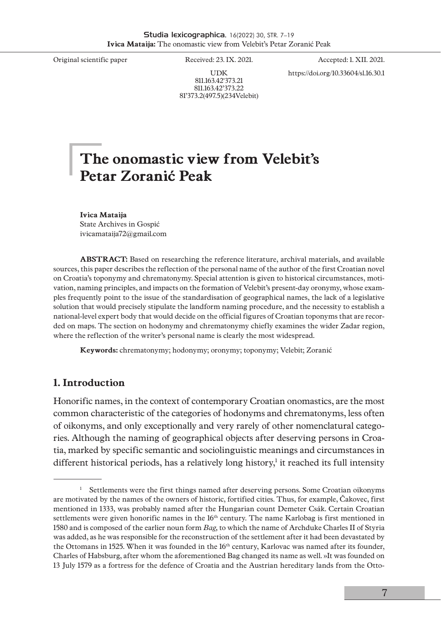UDK 811.163.42'373.21 811.163.42'373.22 81'373.2(497.5)(234Velebit)

Original scientific paper Received: 23. IX. 2021. Accepted: 1. XII. 2021. https://doi.org/10.33604/sl.16.30.1

# **The onomastic view from Velebit's Petar Zoranić Peak**

**Ivica Mataija** State Archives in Gospić [ivicamataija72@gmail.com](mailto:ivicamataija72@gmail.com)

**ABSTRACT:** Based on researching the reference literature, archival materials, and available sources, this paper describes the reflection of the personal name of the author of the first Croatian novel on Croatia's toponymy and chrematonymy. Special attention is given to historical circumstances, motivation, naming principles, and impacts on the formation of Velebit's present-day oronymy, whose examples frequently point to the issue of the standardisation of geographical names, the lack of a legislative solution that would precisely stipulate the landform naming procedure, and the necessity to establish a national-level expert body that would decide on the official figures of Croatian toponyms that are recorded on maps. The section on hodonymy and chrematonymy chiefly examines the wider Zadar region, where the reflection of the writer's personal name is clearly the most widespread.

**Keywords:** chrematonymy; hodonymy; oronymy; toponymy; Velebit; Zoranić

### **1. Introduction**

Honorific names, in the context of contemporary Croatian onomastics, are the most common characteristic of the categories of hodonyms and chrematonyms, less often of oikonyms, and only exceptionally and very rarely of other nomenclatural categories. Although the naming of geographical objects after deserving persons in Croatia, marked by specific semantic and sociolinguistic meanings and circumstances in different historical periods, has a relatively long history, $^{\rm l}$  it reached its full intensity

<sup>&</sup>lt;sup>1</sup> Settlements were the first things named after deserving persons. Some Croatian oikonyms are motivated by the names of the owners of historic, fortified cities. Thus, for example, Čakovec, first mentioned in 1333, was probably named after the Hungarian count Demeter Csák. Certain Croatian settlements were given honorific names in the 16<sup>th</sup> century. The name Karlobag is first mentioned in 1580 and is composed of the earlier noun form *Bag,* to which the name of Archduke Charles II of Styria was added, as he was responsible for the reconstruction of the settlement after it had been devastated by the Ottomans in 1525. When it was founded in the  $16<sup>th</sup>$  century, Karlovac was named after its founder, Charles of Habsburg, after whom the aforementioned Bag changed its name as well. »It was founded on 13 July 1579 as a fortress for the defence of Croatia and the Austrian hereditary lands from the Otto-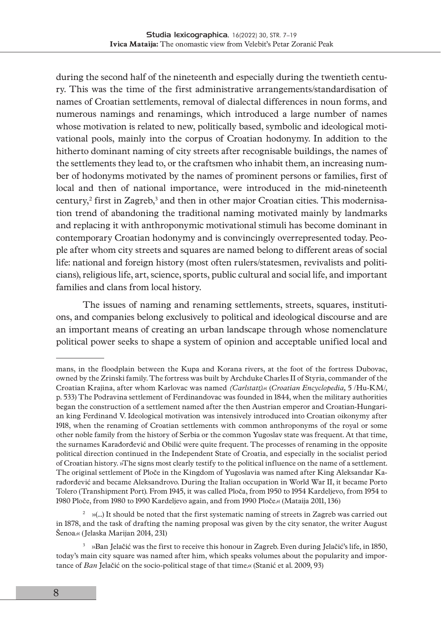during the second half of the nineteenth and especially during the twentieth century. This was the time of the first administrative arrangements/standardisation of names of Croatian settlements, removal of dialectal differences in noun forms, and numerous namings and renamings, which introduced a large number of names whose motivation is related to new, politically based, symbolic and ideological motivational pools, mainly into the corpus of Croatian hodonymy. In addition to the hitherto dominant naming of city streets after recognisable buildings, the names of the settlements they lead to, or the craftsmen who inhabit them, an increasing number of hodonyms motivated by the names of prominent persons or families, first of local and then of national importance, were introduced in the mid-nineteenth century,<sup>2</sup> first in Zagreb,<sup>3</sup> and then in other major Croatian cities. This modernisation trend of abandoning the traditional naming motivated mainly by landmarks and replacing it with anthroponymic motivational stimuli has become dominant in contemporary Croatian hodonymy and is convincingly overrepresented today. People after whom city streets and squares are named belong to different areas of social life: national and foreign history (most often rulers/statesmen, revivalists and politicians), religious life, art, science, sports, public cultural and social life, and important families and clans from local history.

The issues of naming and renaming settlements, streets, squares, institutions, and companies belong exclusively to political and ideological discourse and are an important means of creating an urban landscape through whose nomenclature political power seeks to shape a system of opinion and acceptable unified local and

mans, in the floodplain between the Kupa and Korana rivers, at the foot of the fortress Dubovac, owned by the Zrinski family. The fortress was built by Archduke Charles II of Styria, commander of the Croatian Krajina, after whom Karlovac was named *(Carlstatt)*.« (*Croatian Encyclopedia,* 5 /Hu-KM/, p. 533) The Podravina settlement of Ferdinandovac was founded in 1844, when the military authorities began the construction of a settlement named after the then Austrian emperor and Croatian-Hungarian king Ferdinand V. Ideological motivation was intensively introduced into Croatian oikonymy after 1918, when the renaming of Croatian settlements with common anthroponyms of the royal or some other noble family from the history of Serbia or the common Yugoslav state was frequent. At that time, the surnames Karađorđević and Obilić were quite frequent. The processes of renaming in the opposite political direction continued in the Independent State of Croatia, and especially in the socialist period of Croatian history. »The signs most clearly testify to the political influence on the name of a settlement. The original settlement of Ploče in the Kingdom of Yugoslavia was named after King Aleksandar Karađorđević and became Aleksandrovo. During the Italian occupation in World War II, it became Porto Tolero (Transhipment Port). From 1945, it was called Ploča, from 1950 to 1954 Kardeljevo, from 1954 to 1980 Ploče, from 1980 to 1990 Kardeljevo again, and from 1990 Ploče.« (Mataija 2011, 136)

 $2 \times$  »(...) It should be noted that the first systematic naming of streets in Zagreb was carried out in 1878, and the task of drafting the naming proposal was given by the city senator, the writer August Šenoa.« (Jelaska Marijan 2014, 231)

<sup>&</sup>lt;sup>3</sup> »Ban Jelačić was the first to receive this honour in Zagreb. Even during Jelačić's life, in 1850, today's main city square was named after him, which speaks volumes about the popularity and importance of *Ban* Jelačić on the socio-political stage of that time.« (Stanić et al. 2009, 93)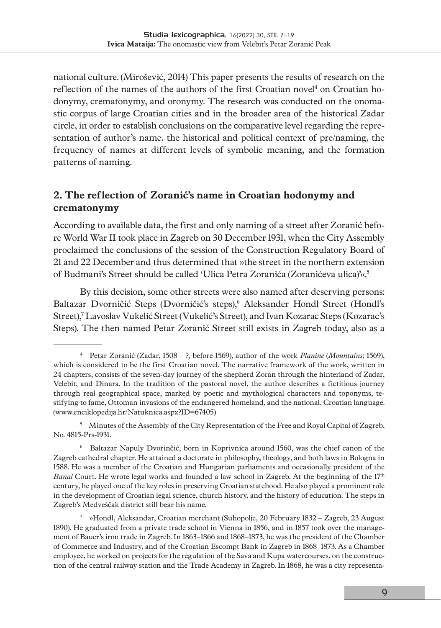national culture. (Mirošević, 2014) This paper presents the results of research on the reflection of the names of the authors of the first Croatian novel<sup>4</sup> on Croatian hodonymy, crematonymy, and oronymy. The research was conducted on the onomastic corpus of large Croatian cities and in the broader area of the historical Zadar circle, in order to establish conclusions on the comparative level regarding the representation of author's name, the historical and political context of pre/naming, the frequency of names at different levels of symbolic meaning, and the formation patterns of naming.

## **2. The reflection of Zoranić's name in Croatian hodonymy and crematonymy**

According to available data, the first and only naming of a street after Zoranić before World War II took place in Zagreb on 30 December 1931, when the City Assembly proclaimed the conclusions of the session of the Construction Regulatory Board of 21 and 22 December and thus determined that »the street in the northern extension of Budmani's Street should be called 'Ulica Petra Zoranića (Zoranićeva ulica)'«.5

By this decision, some other streets were also named after deserving persons: Baltazar Dvorničić Steps (Dvorničić's steps),<sup>6</sup> Aleksander Hondl Street (Hondl's Street),7 Lavoslav Vukelić Street (Vukelić's Street), and Ivan Kozarac Steps (Kozarac's Steps). The then named Petar Zoranić Street still exists in Zagreb today, also as a

<sup>5</sup> Minutes of the Assembly of the City Representation of the Free and Royal Capital of Zagreb, No. 4815-Prs-1931.

6 Baltazar Napuly Dvorinčić, born in Koprivnica around 1560, was the chief canon of the Zagreb cathedral chapter. He attained a doctorate in philosophy, theology, and both laws in Bologna in 1588. He was a member of the Croatian and Hungarian parliaments and occasionally president of the *Banal* Court. He wrote legal works and founded a law school in Zagreb. At the beginning of the 17<sup>th</sup> century, he played one of the key roles in preserving Croatian statehood. He also played a prominent role in the development of Croatian legal science, church history, and the history of education. The steps in Zagreb's Medveščak district still bear his name.

7 »Hondl, Aleksandar, Croatian merchant (Suhopolje, 20 February 1832 – Zagreb, 23 August 1890). He graduated from a private trade school in Vienna in 1856, and in 1857 took over the management of Bauer's iron trade in Zagreb. In 1863–1866 and 1868–1873, he was the president of the Chamber of Commerce and Industry, and of the Croatian Escompt Bank in Zagreb in 1868–1873. As a Chamber employee, he worked on projects for the regulation of the Sava and Kupa watercourses, on the construction of the central railway station and the Trade Academy in Zagreb. In 1868, he was a city representa-

<sup>4</sup> Petar Zoranić (Zadar, 1508 – ?, before 1569), author of the work *Planine* (*Mountains*; 1569), which is considered to be the first Croatian novel. The narrative framework of the work, written in 24 chapters, consists of the seven-day journey of the shepherd Zoran through the hinterland of Zadar, Velebit, and Dinara. In the tradition of the pastoral novel, the author describes a fictitious journey through real geographical space, marked by poetic and mythological characters and toponyms, testifying to fame, Ottoman invasions of the endangered homeland, and the national, Croatian language. (www.enciklopedija.hr/Natuknica.aspx?ID=67405)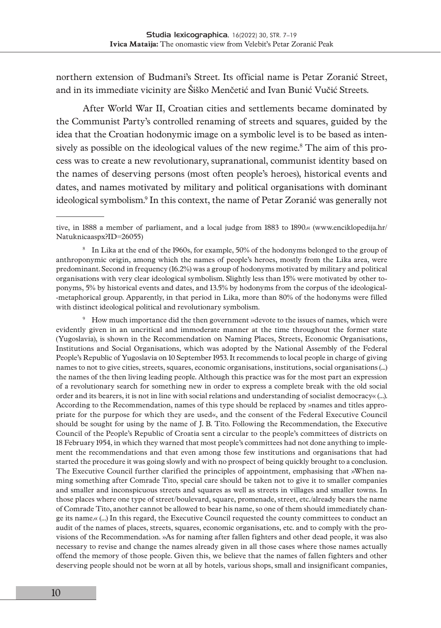northern extension of Budmani's Street. Its official name is Petar Zoranić Street, and in its immediate vicinity are Šiško Menčetić and Ivan Bunić Vučić Streets.

After World War II, Croatian cities and settlements became dominated by the Communist Party's controlled renaming of streets and squares, guided by the idea that the Croatian hodonymic image on a symbolic level is to be based as intensively as possible on the ideological values of the new regime.8 The aim of this process was to create a new revolutionary, supranational, communist identity based on the names of deserving persons (most often people's heroes), historical events and dates, and names motivated by military and political organisations with dominant ideological symbolism.9 In this context, the name of Petar Zoranić was generally not

9 How much importance did the then government »devote to the issues of names, which were evidently given in an uncritical and immoderate manner at the time throughout the former state (Yugoslavia), is shown in the Recommendation on Naming Places, Streets, Economic Organisations, Institutions and Social Organisations, which was adopted by the National Assembly of the Federal People's Republic of Yugoslavia on 10 September 1953. It recommends to local people in charge of giving names to not to give cities, streets, squares, economic organisations, institutions, social organisations (...) the names of the then living leading people. Although this practice was for the most part an expression of a revolutionary search for something new in order to express a complete break with the old social order and its bearers, it is not in line with social relations and understanding of socialist democracy« (…). According to the Recommendation, names of this type should be replaced by »names and titles appropriate for the purpose for which they are used«, and the consent of the Federal Executive Council should be sought for using by the name of J. B. Tito. Following the Recommendation, the Executive Council of the People's Republic of Croatia sent a circular to the people's committees of districts on 18 February 1954, in which they warned that most people's committees had not done anything to implement the recommendations and that even among those few institutions and organisations that had started the procedure it was going slowly and with no prospect of being quickly brought to a conclusion. The Executive Council further clarified the principles of appointment, emphasising that »When naming something after Comrade Tito, special care should be taken not to give it to smaller companies and smaller and inconspicuous streets and squares as well as streets in villages and smaller towns. In those places where one type of street/boulevard, square, promenade, street, etc./already bears the name of Comrade Tito, another cannot be allowed to bear his name, so one of them should immediately change its name.« (…) In this regard, the Executive Council requested the county committees to conduct an audit of the names of places, streets, squares, economic organisations, etc. and to comply with the provisions of the Recommendation. »As for naming after fallen fighters and other dead people, it was also necessary to revise and change the names already given in all those cases where those names actually offend the memory of those people. Given this, we believe that the names of fallen fighters and other deserving people should not be worn at all by hotels, various shops, small and insignificant companies,

tive, in 1888 a member of parliament, and a local judge from 1883 to 1890.« [\(www.enciklopedija.hr/](http://www.enciklopedija.hr/Natuknicaaspx?ID=26055) [Natuknicaaspx?ID=26055](http://www.enciklopedija.hr/Natuknicaaspx?ID=26055))

<sup>8</sup> In Lika at the end of the 1960s, for example, 50% of the hodonyms belonged to the group of anthroponymic origin, among which the names of people's heroes, mostly from the Lika area, were predominant. Second in frequency (16.2%) was a group of hodonyms motivated by military and political organisations with very clear ideological symbolism. Slightly less than 15% were motivated by other toponyms, 5% by historical events and dates, and 13.5% by hodonyms from the corpus of the ideological- -metaphorical group. Apparently, in that period in Lika, more than 80% of the hodonyms were filled with distinct ideological political and revolutionary symbolism.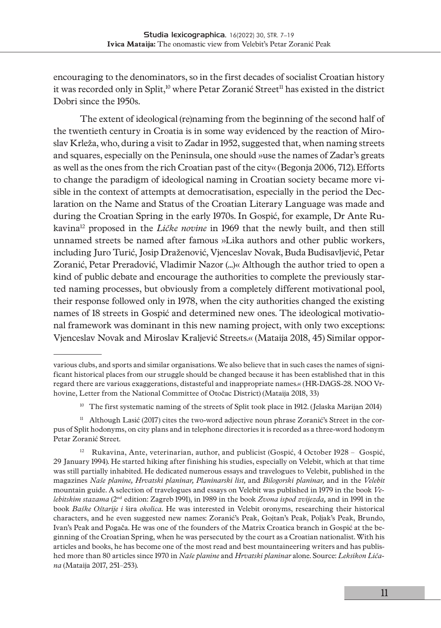encouraging to the denominators, so in the first decades of socialist Croatian history it was recorded only in Split,<sup>10</sup> where Petar Zoranić Street<sup>11</sup> has existed in the district Dobri since the 1950s.

The extent of ideological (re)naming from the beginning of the second half of the twentieth century in Croatia is in some way evidenced by the reaction of Miroslav Krleža, who, during a visit to Zadar in 1952, suggested that, when naming streets and squares, especially on the Peninsula, one should »use the names of Zadar's greats as well as the ones from the rich Croatian past of the city« (Begonja 2006, 712). Efforts to change the paradigm of ideological naming in Croatian society became more visible in the context of attempts at democratisation, especially in the period the Declaration on the Name and Status of the Croatian Literary Language was made and during the Croatian Spring in the early 1970s. In Gospić, for example, Dr Ante Rukavina12 proposed in the *Ličke novine* in 1969 that the newly built, and then still unnamed streets be named after famous »Lika authors and other public workers, including Juro Turić, Josip Draženović, Vjenceslav Novak, Buda Budisavljević, Petar Zoranić, Petar Preradović, Vladimir Nazor (...)« Although the author tried to open a kind of public debate and encourage the authorities to complete the previously started naming processes, but obviously from a completely different motivational pool, their response followed only in 1978, when the city authorities changed the existing names of 18 streets in Gospić and determined new ones. The ideological motivational framework was dominant in this new naming project, with only two exceptions: Vjenceslav Novak and Miroslav Kraljević Streets.« (Mataija 2018, 45) Similar oppor-

various clubs, and sports and similar organisations. We also believe that in such cases the names of significant historical places from our struggle should be changed because it has been established that in this regard there are various exaggerations, distasteful and inappropriate names.« (HR-DAGS-28. NOO Vrhovine, Letter from the National Committee of Otočac District) (Mataija 2018, 33)

<sup>&</sup>lt;sup>10</sup> The first systematic naming of the streets of Split took place in 1912. (Jelaska Marijan 2014)

<sup>&</sup>lt;sup>11</sup> Although Lasić (2017) cites the two-word adjective noun phrase Zoranić's Street in the corpus of Split hodonyms, on city plans and in telephone directories it is recorded as a three-word hodonym Petar Zoranić Street.

<sup>12</sup> Rukavina, Ante, veterinarian, author, and publicist (Gospić, 4 October 1928 – Gospić, 29 January 1994). He started hiking after finishing his studies, especially on Velebit, which at that time was still partially inhabited. He dedicated numerous essays and travelogues to Velebit, published in the magazines *Naše planine, Hrvatski planinar, Planinarski list,* and *Bilogorski planinar,* and in the *Velebit* mountain guide. A selection of travelogues and essays on Velebit was published in 1979 in the book *Velebitskim stazama* (2nd edition: Zagreb 1991), in 1989 in the book *Zvona ispod zvijezda,* and in 1991 in the book *Baške Oštarije i* šira *okolica.* He was interested in Velebit oronyms, researching their historical characters, and he even suggested new names: Zoranić's Peak, Gojtan's Peak, Poljak's Peak, Brundo, Ivan's Peak and Pogača. He was one of the founders of the Matrix Croatica branch in Gospić at the beginning of the Croatian Spring, when he was persecuted by the court as a Croatian nationalist. With his articles and books, he has become one of the most read and best mountaineering writers and has published more than 80 articles since 1970 in *Naše planine* and *Hrvatski planinar* alone. Source: *Leksikon Ličana* (Mataija 2017, 251–253).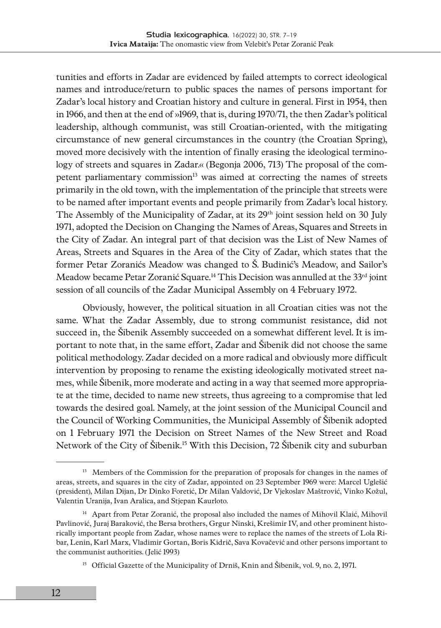tunities and efforts in Zadar are evidenced by failed attempts to correct ideological names and introduce/return to public spaces the names of persons important for Zadar's local history and Croatian history and culture in general. First in 1954, then in 1966, and then at the end of »1969, that is, during 1970/71, the then Zadar's political leadership, although communist, was still Croatian-oriented, with the mitigating circumstance of new general circumstances in the country (the Croatian Spring), moved more decisively with the intention of finally erasing the ideological terminology of streets and squares in Zadar.« (Begonja 2006, 713) The proposal of the competent parliamentary commission<sup>13</sup> was aimed at correcting the names of streets primarily in the old town, with the implementation of the principle that streets were to be named after important events and people primarily from Zadar's local history. The Assembly of the Municipality of Zadar, at its 29<sup>th</sup> joint session held on 30 July 1971, adopted the Decision on Changing the Names of Areas, Squares and Streets in the City of Zadar. An integral part of that decision was the List of New Names of Areas, Streets and Squares in the Area of the City of Zadar, which states that the former Petar Zoranićs Meadow was changed to Š. Budinić's Meadow, and Sailor's Meadow became Petar Zoranić Square*.* 14 This Decision was annulled at the 33rd joint session of all councils of the Zadar Municipal Assembly on 4 February 1972.

Obviously, however, the political situation in all Croatian cities was not the same. What the Zadar Assembly, due to strong communist resistance, did not succeed in, the Šibenik Assembly succeeded on a somewhat different level. It is important to note that, in the same effort, Zadar and Šibenik did not choose the same political methodology. Zadar decided on a more radical and obviously more difficult intervention by proposing to rename the existing ideologically motivated street names, while Šibenik, more moderate and acting in a way that seemed more appropriate at the time, decided to name new streets, thus agreeing to a compromise that led towards the desired goal. Namely, at the joint session of the Municipal Council and the Council of Working Communities, the Municipal Assembly of Šibenik adopted on 1 February 1971 the Decision on Street Names of the New Street and Road Network of the City of Šibenik*.* 15 With this Decision, 72 Šibenik city and suburban

<sup>&</sup>lt;sup>13</sup> Members of the Commission for the preparation of proposals for changes in the names of areas, streets, and squares in the city of Zadar, appointed on 23 September 1969 were: Marcel Uglešić (president), Milan Dijan, Dr Dinko Foretić, Dr Milan Valdović, Dr Vjekoslav Maštrović, Vinko Kožul, Valentin Uranija, Ivan Aralica, and Stjepan Kaurloto.

<sup>&</sup>lt;sup>14</sup> Apart from Petar Zoranić, the proposal also included the names of Mihovil Klaić, Mihovil Pavlinović, Juraj Baraković, the Bersa brothers, Grgur Ninski, Krešimir IV, and other prominent historically important people from Zadar, whose names were to replace the names of the streets of Lola Ribar, Lenin, Karl Marx, Vladimir Gortan, Boris Kidrič, Sava Kovačević and other persons important to the communist authorities. (Jelić 1993)

<sup>&</sup>lt;sup>15</sup> Official Gazette of the Municipality of Drniš, Knin and Šibenik, vol. 9, no. 2, 1971.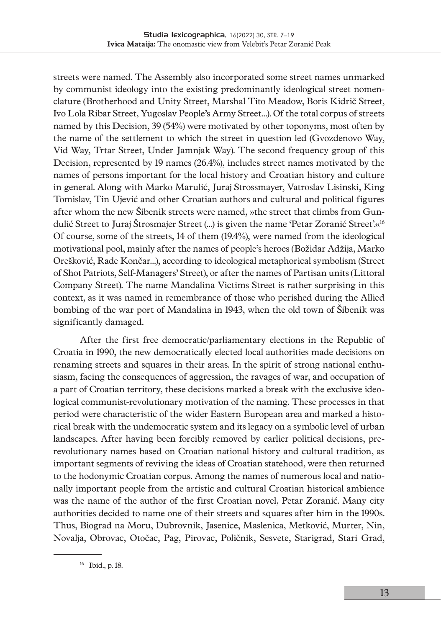streets were named. The Assembly also incorporated some street names unmarked by communist ideology into the existing predominantly ideological street nomenclature (Brotherhood and Unity Street, Marshal Tito Meadow, Boris Kidrič Street, Ivo Lola Ribar Street, Yugoslav People's Army Street…). Of the total corpus of streets named by this Decision, 39 (54%) were motivated by other toponyms, most often by the name of the settlement to which the street in question led (Gvozdenovo Way, Vid Way, Trtar Street, Under Jamnjak Way). The second frequency group of this Decision, represented by 19 names (26.4%), includes street names motivated by the names of persons important for the local history and Croatian history and culture in general. Along with Marko Marulić, Juraj Strossmayer, Vatroslav Lisinski, King Tomislav, Tin Ujević and other Croatian authors and cultural and political figures after whom the new Šibenik streets were named, »the street that climbs from Gundulić Street to Juraj Štrosmajer Street (…) is given the name 'Petar Zoranić Street'.«16 Of course, some of the streets, 14 of them (19.4%), were named from the ideological motivational pool, mainly after the names of people's heroes (Božidar Adžija, Marko Orešković, Rade Končar…), according to ideological metaphorical symbolism (Street of Shot Patriots, Self-Managers' Street), or after the names of Partisan units (Littoral Company Street). The name Mandalina Victims Street is rather surprising in this context, as it was named in remembrance of those who perished during the Allied bombing of the war port of Mandalina in 1943, when the old town of Šibenik was significantly damaged.

After the first free democratic/parliamentary elections in the Republic of Croatia in 1990, the new democratically elected local authorities made decisions on renaming streets and squares in their areas. In the spirit of strong national enthusiasm, facing the consequences of aggression, the ravages of war, and occupation of a part of Croatian territory, these decisions marked a break with the exclusive ideological communist-revolutionary motivation of the naming. These processes in that period were characteristic of the wider Eastern European area and marked a historical break with the undemocratic system and its legacy on a symbolic level of urban landscapes. After having been forcibly removed by earlier political decisions, prerevolutionary names based on Croatian national history and cultural tradition, as important segments of reviving the ideas of Croatian statehood, were then returned to the hodonymic Croatian corpus. Among the names of numerous local and nationally important people from the artistic and cultural Croatian historical ambience was the name of the author of the first Croatian novel, Petar Zoranić. Many city authorities decided to name one of their streets and squares after him in the 1990s. Thus, Biograd na Moru, Dubrovnik, Jasenice, Maslenica, Metković, Murter, Nin, Novalja, Obrovac, Otočac, Pag, Pirovac, Poličnik, Sesvete, Starigrad, Stari Grad,

<sup>16</sup> Ibid., p. 18.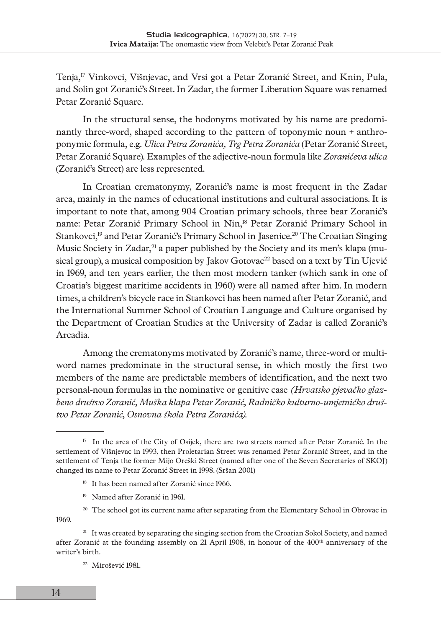Tenja,17 Vinkovci, Višnjevac, and Vrsi got a Petar Zoranić Street, and Knin, Pula, and Solin got Zoranić's Street. In Zadar, the former Liberation Square was renamed Petar Zoranić Square.

In the structural sense, the hodonyms motivated by his name are predominantly three-word, shaped according to the pattern of toponymic noun + anthroponymic formula, e.g. *Ulica Petra Zoranića, Trg Petra Zoranića* (Petar Zoranić Street, Petar Zoranić Square)*.* Examples of the adjective-noun formula like *Zoranićeva ulica*  (Zoranić's Street) are less represented.

In Croatian crematonymy, Zoranić's name is most frequent in the Zadar area, mainly in the names of educational institutions and cultural associations. It is important to note that, among 904 Croatian primary schools, three bear Zoranić's name: Petar Zoranić Primary School in Nin,18 Petar Zoranić Primary School in Stankovci,<sup>19</sup> and Petar Zoranić's Primary School in Jasenice.<sup>20</sup> The Croatian Singing Music Society in Zadar,<sup>21</sup> a paper published by the Society and its men's klapa (musical group), a musical composition by Jakov Gotovac $^{22}$  based on a text by Tin Ujević in 1969, and ten years earlier, the then most modern tanker (which sank in one of Croatia's biggest maritime accidents in 1960) were all named after him. In modern times, a children's bicycle race in Stankovci has been named after Petar Zoranić, and the International Summer School of Croatian Language and Culture organised by the Department of Croatian Studies at the University of Zadar is called Zoranić's Arcadia.

Among the crematonyms motivated by Zoranić's name, three-word or multiword names predominate in the structural sense, in which mostly the first two members of the name are predictable members of identification, and the next two personal-noun formulas in the nominative or genitive case *(Hrvatsko pjevačko glazbeno društvo Zoranić, Muška klapa Petar Zoranić, Radničko kulturno-umjetničko društvo Petar Zoranić, Osnovna škola Petra Zoranića).*

- 18 It has been named after Zoranić since 1966.
- 19 Named after Zoranić in 1961.
- <sup>20</sup> The school got its current name after separating from the Elementary School in Obrovac in 1969.

<sup>21</sup> It was created by separating the singing section from the Croatian Sokol Society, and named after Zoranić at the founding assembly on 21 April 1908, in honour of the 400<sup>th</sup> anniversary of the writer's birth.

22 Mirošević 1981.

<sup>&</sup>lt;sup>17</sup> In the area of the City of Osijek, there are two streets named after Petar Zoranić. In the settlement of Višnjevac in 1993, then Proletarian Street was renamed Petar Zoranić Street, and in the settlement of Tenja the former Mijo Oreški Street (named after one of the Seven Secretaries of SKOJ) changed its name to Petar Zoranić Street in 1998. (Sršan 2001)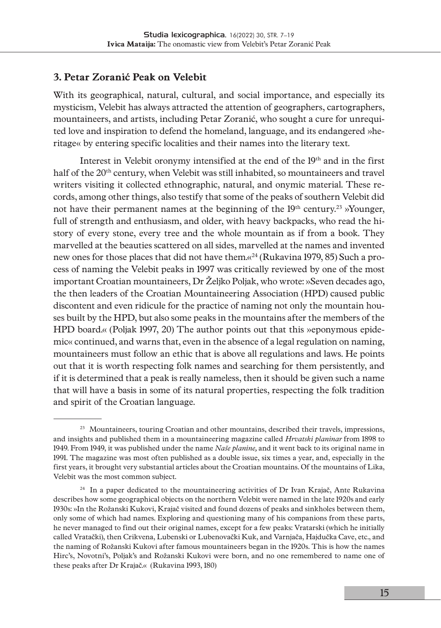### **3. Petar Zoranić Peak on Velebit**

With its geographical, natural, cultural, and social importance, and especially its mysticism, Velebit has always attracted the attention of geographers, cartographers, mountaineers, and artists, including Petar Zoranić, who sought a cure for unrequited love and inspiration to defend the homeland, language, and its endangered »heritage« by entering specific localities and their names into the literary text.

Interest in Velebit oronymy intensified at the end of the 19th and in the first half of the 20<sup>th</sup> century, when Velebit was still inhabited, so mountaineers and travel writers visiting it collected ethnographic, natural, and onymic material. These records, among other things, also testify that some of the peaks of southern Velebit did not have their permanent names at the beginning of the 19<sup>th</sup> century.<sup>23</sup> »Younger, full of strength and enthusiasm, and older, with heavy backpacks, who read the history of every stone, every tree and the whole mountain as if from a book. They marvelled at the beauties scattered on all sides, marvelled at the names and invented new ones for those places that did not have them.«24 (Rukavina 1979, 85) Such a process of naming the Velebit peaks in 1997 was critically reviewed by one of the most important Croatian mountaineers, Dr Željko Poljak, who wrote: »Seven decades ago, the then leaders of the Croatian Mountaineering Association (HPD) caused public discontent and even ridicule for the practice of naming not only the mountain houses built by the HPD, but also some peaks in the mountains after the members of the HPD board.« (Poljak 1997, 20) The author points out that this »eponymous epidemic« continued, and warns that, even in the absence of a legal regulation on naming, mountaineers must follow an ethic that is above all regulations and laws. He points out that it is worth respecting folk names and searching for them persistently, and if it is determined that a peak is really nameless, then it should be given such a name that will have a basis in some of its natural properties, respecting the folk tradition and spirit of the Croatian language.

<sup>&</sup>lt;sup>23</sup> Mountaineers, touring Croatian and other mountains, described their travels, impressions, and insights and published them in a mountaineering magazine called *Hrvatski planinar* from 1898 to 1949. From 1949, it was published under the name *Naše planine,* and it went back to its original name in 1991. The magazine was most often published as a double issue, six times a year, and, especially in the first years, it brought very substantial articles about the Croatian mountains. Of the mountains of Lika, Velebit was the most common subject.

 $24$  In a paper dedicated to the mountaineering activities of Dr Ivan Krajač, Ante Rukavina describes how some geographical objects on the northern Velebit were named in the late 1920s and early 1930s: »In the Rožanski Kukovi, Krajač visited and found dozens of peaks and sinkholes between them, only some of which had names. Exploring and questioning many of his companions from these parts, he never managed to find out their original names, except for a few peaks: Vratarski (which he initially called Vratački), then Crikvena, Lubenski or Lubenovački Kuk, and Varnjača, Hajdučka Cave, etc., and the naming of Rožanski Kukovi after famous mountaineers began in the 1920s. This is how the names Hirc's, Novotni's, Poljak's and Rožanski Kukovi were born, and no one remembered to name one of these peaks after Dr Krajač.« (Rukavina 1993, 180)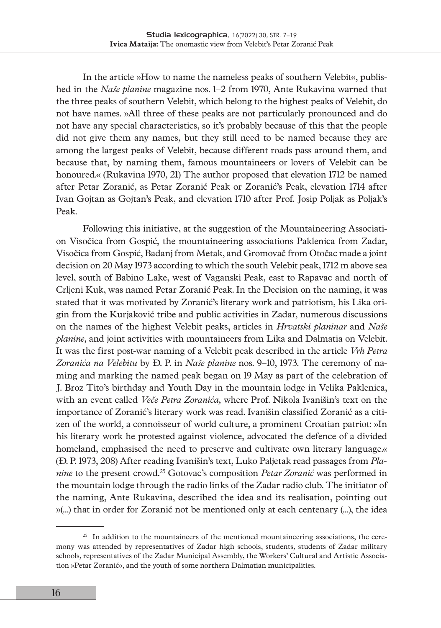In the article »How to name the nameless peaks of southern Velebit«, published in the *Naše planine* magazine nos. 1–2 from 1970, Ante Rukavina warned that the three peaks of southern Velebit, which belong to the highest peaks of Velebit, do not have names. »All three of these peaks are not particularly pronounced and do not have any special characteristics, so it's probably because of this that the people did not give them any names, but they still need to be named because they are among the largest peaks of Velebit, because different roads pass around them, and because that, by naming them, famous mountaineers or lovers of Velebit can be honoured.« (Rukavina 1970, 21) The author proposed that elevation 1712 be named after Petar Zoranić, as Petar Zoranić Peak or Zoranić's Peak, elevation 1714 after Ivan Gojtan as Gojtan's Peak, and elevation 1710 after Prof. Josip Poljak as Poljak's Peak.

Following this initiative, at the suggestion of the Mountaineering Association Visočica from Gospić, the mountaineering associations Paklenica from Zadar, Visočica from Gospić, Badanj from Metak, and Gromovač from Otočac made a joint decision on 20 May 1973 according to which the south Velebit peak, 1712 m above sea level, south of Babino Lake, west of Vaganski Peak, east to Rapavac and north of Crljeni Kuk, was named Petar Zoranić Peak. In the Decision on the naming, it was stated that it was motivated by Zoranić's literary work and patriotism, his Lika origin from the Kurjaković tribe and public activities in Zadar, numerous discussions on the names of the highest Velebit peaks, articles in *Hrvatski planinar* and *Naše planine,* and joint activities with mountaineers from Lika and Dalmatia on Velebit. It was the first post-war naming of a Velebit peak described in the article *Vrh Petra Zoranića na Velebitu* by Đ. P. in *Naše planine* nos. 9–10, 1973. The ceremony of naming and marking the named peak began on 19 May as part of the celebration of J. Broz Tito's birthday and Youth Day in the mountain lodge in Velika Paklenica, with an event called *Veče Petra Zoranića,* where Prof. Nikola Ivanišin's text on the importance of Zoranić's literary work was read. Ivanišin classified Zoranić as a citizen of the world, a connoisseur of world culture, a prominent Croatian patriot: »In his literary work he protested against violence, advocated the defence of a divided homeland, emphasised the need to preserve and cultivate own literary language.« (Đ. P. 1973, 208) After reading Ivanišin's text, Luko Paljetak read passages from *Planine* to the present crowd.25 Gotovac's composition *Petar Zoranić* was performed in the mountain lodge through the radio links of the Zadar radio club. The initiator of the naming, Ante Rukavina, described the idea and its realisation, pointing out »(…) that in order for Zoranić not be mentioned only at each centenary (…), the idea

<sup>&</sup>lt;sup>25</sup> In addition to the mountaineers of the mentioned mountaineering associations, the ceremony was attended by representatives of Zadar high schools, students, students of Zadar military schools, representatives of the Zadar Municipal Assembly, the Workers' Cultural and Artistic Association »Petar Zoranić«, and the youth of some northern Dalmatian municipalities.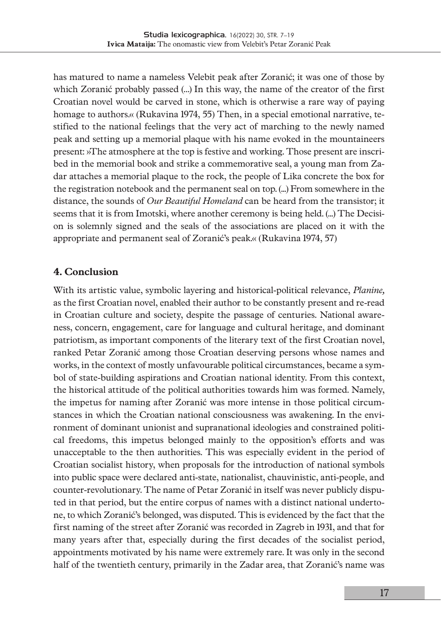has matured to name a nameless Velebit peak after Zoranić; it was one of those by which Zoranić probably passed (…) In this way, the name of the creator of the first Croatian novel would be carved in stone, which is otherwise a rare way of paying homage to authors.« (Rukavina 1974, 55) Then, in a special emotional narrative, testified to the national feelings that the very act of marching to the newly named peak and setting up a memorial plaque with his name evoked in the mountaineers present: »The atmosphere at the top is festive and working. Those present are inscribed in the memorial book and strike a commemorative seal, a young man from Zadar attaches a memorial plaque to the rock, the people of Lika concrete the box for the registration notebook and the permanent seal on top. (...) From somewhere in the distance, the sounds of *Our Beautiful Homeland* can be heard from the transistor; it seems that it is from Imotski, where another ceremony is being held. (...) The Decision is solemnly signed and the seals of the associations are placed on it with the appropriate and permanent seal of Zoranić's peak.« (Rukavina 1974, 57)

### **4. Conclusion**

With its artistic value, symbolic layering and historical-political relevance, *Planine,* as the first Croatian novel, enabled their author to be constantly present and re-read in Croatian culture and society, despite the passage of centuries. National awareness, concern, engagement, care for language and cultural heritage, and dominant patriotism, as important components of the literary text of the first Croatian novel, ranked Petar Zoranić among those Croatian deserving persons whose names and works, in the context of mostly unfavourable political circumstances, became a symbol of state-building aspirations and Croatian national identity. From this context, the historical attitude of the political authorities towards him was formed. Namely, the impetus for naming after Zoranić was more intense in those political circumstances in which the Croatian national consciousness was awakening. In the environment of dominant unionist and supranational ideologies and constrained political freedoms, this impetus belonged mainly to the opposition's efforts and was unacceptable to the then authorities. This was especially evident in the period of Croatian socialist history, when proposals for the introduction of national symbols into public space were declared anti-state, nationalist, chauvinistic, anti-people, and counter-revolutionary. The name of Petar Zoranić in itself was never publicly disputed in that period, but the entire corpus of names with a distinct national undertone, to which Zoranić's belonged, was disputed. This is evidenced by the fact that the first naming of the street after Zoranić was recorded in Zagreb in 1931, and that for many years after that, especially during the first decades of the socialist period, appointments motivated by his name were extremely rare. It was only in the second half of the twentieth century, primarily in the Zadar area, that Zoranić's name was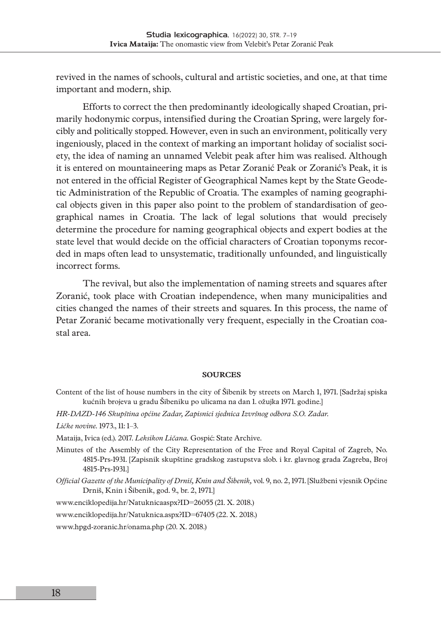revived in the names of schools, cultural and artistic societies, and one, at that time important and modern, ship.

Efforts to correct the then predominantly ideologically shaped Croatian, primarily hodonymic corpus, intensified during the Croatian Spring, were largely forcibly and politically stopped. However, even in such an environment, politically very ingeniously, placed in the context of marking an important holiday of socialist society, the idea of naming an unnamed Velebit peak after him was realised. Although it is entered on mountaineering maps as Petar Zoranić Peak or Zoranić's Peak, it is not entered in the official Register of Geographical Names kept by the State Geodetic Administration of the Republic of Croatia. The examples of naming geographical objects given in this paper also point to the problem of standardisation of geographical names in Croatia. The lack of legal solutions that would precisely determine the procedure for naming geographical objects and expert bodies at the state level that would decide on the official characters of Croatian toponyms recorded in maps often lead to unsystematic, traditionally unfounded, and linguistically incorrect forms.

The revival, but also the implementation of naming streets and squares after Zoranić, took place with Croatian independence, when many municipalities and cities changed the names of their streets and squares. In this process, the name of Petar Zoranić became motivationally very frequent, especially in the Croatian coastal area.

### **SOURCES**

- Content of the list of house numbers in the city of Šibenik by streets on March 1, 1971. [Sadržaj spiska kućnih brojeva u gradu Šibeniku po ulicama na dan 1. ožujka 1971. godine.]
- *HR-DAZD-146 Skupština općine Zadar, Zapisnici sjednica Izvršnog odbora S.O. Zadar.*

*Ličke novine.* 1973., 11: 1–3.

Mataija, Ivica (ed.). 2017. *Leksikon Ličana.* Gospić: State Archive.

- Minutes of the Assembly of the City Representation of the Free and Royal Capital of Zagreb, No. 4815-Prs-1931. [Zapisnik skupštine gradskog zastupstva slob. i kr. glavnog grada Zagreba, Broj 4815-Prs-1931.]
- *Official Gazette of the Municipality of Drniš, Knin and Šibenik,* vol. 9, no. 2, 1971. [Službeni vjesnik Općine Drniš, Knin i Šibenik, god. 9., br. 2, 1971.]

[www.enciklopedija.hr/Natuknicaaspx?ID=26055](http://www.enciklopedija.hr/Natuknicaaspx?ID=26055) (21. X. 2018.)

[www.enciklopedija.hr/Natuknica.aspx?ID=67405](http://www.enciklopedija.hr/Natuknica.aspx?ID=67405) (22. X. 2018.)

[www.hpgd-zoranic.hr/onama.php](http://www.hpgd-zoranic.hr/onama.php) (20. X. 2018.)